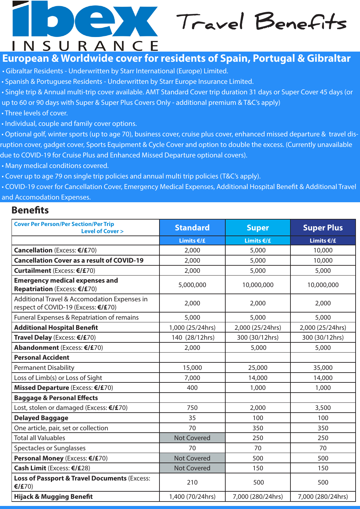## **Travel Benefits INSURANCE**

## **European & Worldwide cover for residents of Spain, Portugal & Gibraltar**

- Gibraltar Residents Underwritten by Starr International (Europe) Limited.
- Spanish & Portuguese Residents Underwritten by Starr Europe Insurance Limited.
- Single trip & Annual multi-trip cover available. AMT Standard Cover trip duration 31 days or Super Cover 45 days (or
- up to 60 or 90 days with Super & Super Plus Covers Only additional premium & T&C's apply)
- Three levels of cover.
- Individual, couple and family cover options.

 • Optional golf, winter sports (up to age 70), business cover, cruise plus cover, enhanced missed departure & travel disruption cover, gadget cover, Sports Equipment & Cycle Cover and option to double the excess. (Currently unavailable due to COVID-19 for Cruise Plus and Enhanced Missed Departure optional covers).

- Many medical conditions covered.
- Cover up to age 79 on single trip policies and annual multi trip policies (T&C's apply).

• COVID-19 cover for Cancellation Cover, Emergency Medical Expenses, Additional Hospital Benefit & Additional Travel and Accomodation Expenses.

### **Benefits**

| <b>Cover Per Person/Per Section/Per Trip</b><br><b>Level of Cover &gt;</b>          | <b>Standard</b>    | <b>Super</b>      | <b>Super Plus</b> |
|-------------------------------------------------------------------------------------|--------------------|-------------------|-------------------|
|                                                                                     | Limits $€/£$       | Limits $E/E$      | Limits $€/£$      |
| Cancellation (Excess: €/£70)                                                        | 2,000              | 5,000             | 10,000            |
| <b>Cancellation Cover as a result of COVID-19</b>                                   | 2,000              | 5,000             | 10,000            |
| Curtailment (Excess: €/£70)                                                         | 2,000              | 5,000             | 5,000             |
| <b>Emergency medical expenses and</b><br><b>Repatriation (Excess: €/£70)</b>        | 5,000,000          | 10,000,000        | 10,000,000        |
| Additional Travel & Accomodation Expenses in<br>respect of COVID-19 (Excess: €/£70) | 2,000              | 2,000             | 2,000             |
| Funeral Expenses & Repatriation of remains                                          | 5,000              | 5,000             | 5,000             |
| <b>Additional Hospital Benefit</b>                                                  | 1,000 (25/24hrs)   | 2,000 (25/24hrs)  | 2,000 (25/24hrs)  |
| Travel Delay (Excess: €/£70)                                                        | 140 (28/12hrs)     | 300 (30/12hrs)    | 300 (30/12hrs)    |
| Abandonment (Excess: €/£70)                                                         | 2,000              | 5,000             | 5,000             |
| <b>Personal Accident</b>                                                            |                    |                   |                   |
| <b>Permanent Disability</b>                                                         | 15,000             | 25,000            | 35,000            |
| Loss of Limb(s) or Loss of Sight                                                    | 7,000              | 14,000            | 14,000            |
| Missed Departure (Excess: €/£70)                                                    | 400                | 1,000             | 1,000             |
| <b>Baggage &amp; Personal Effects</b>                                               |                    |                   |                   |
| Lost, stolen or damaged (Excess: €/£70)                                             | 750                | 2,000             | 3,500             |
| <b>Delayed Baggage</b>                                                              | 35                 | 100               | 100               |
| One article, pair, set or collection                                                | 70                 | 350               | 350               |
| <b>Total all Valuables</b>                                                          | <b>Not Covered</b> | 250               | 250               |
| Spectacles or Sunglasses                                                            | 70                 | 70                | 70                |
| Personal Money (Excess: €/£70)                                                      | <b>Not Covered</b> | 500               | 500               |
| Cash Limit (Excess: €/£28)                                                          | <b>Not Covered</b> | 150               | 150               |
| Loss of Passport & Travel Documents (Excess:<br>€/£70)                              | 210                | 500               | 500               |
| <b>Hijack &amp; Mugging Benefit</b>                                                 | 1,400 (70/24hrs)   | 7,000 (280/24hrs) | 7,000 (280/24hrs) |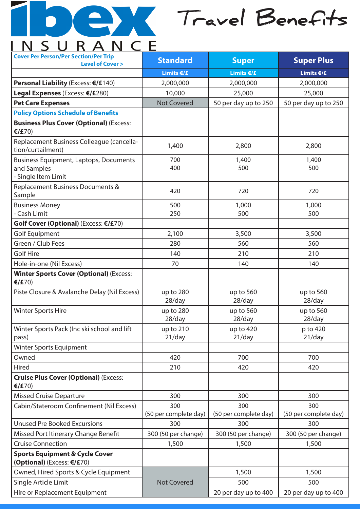

# **Travel Benefits**

| <b>Cover Per Person/Per Section/Per Trip</b>                                        |                              |                              |                              |
|-------------------------------------------------------------------------------------|------------------------------|------------------------------|------------------------------|
| <b>Level of Cover &gt;</b>                                                          | <b>Standard</b>              | <b>Super</b>                 | <b>Super Plus</b>            |
|                                                                                     | Limits $E/E$                 | Limits €/£                   | Limits €/£                   |
| Personal Liability (Excess: €/£140)                                                 | 2,000,000                    | 2,000,000                    | 2,000,000                    |
| Legal Expenses (Excess: €/£280)                                                     | 10,000                       | 25,000                       | 25,000                       |
| <b>Pet Care Expenses</b>                                                            | <b>Not Covered</b>           | 50 per day up to 250         | 50 per day up to 250         |
| <b>Policy Options Schedule of Benefits</b>                                          |                              |                              |                              |
| <b>Business Plus Cover (Optional) (Excess:</b><br>€/£70)                            |                              |                              |                              |
| Replacement Business Colleague (cancella-<br>tion/curtailment)                      | 1,400                        | 2,800                        | 2,800                        |
| <b>Business Equipment, Laptops, Documents</b><br>and Samples<br>- Single Item Limit | 700<br>400                   | 1,400<br>500                 | 1,400<br>500                 |
| Replacement Business Documents &<br>Sample                                          | 420                          | 720                          | 720                          |
| <b>Business Money</b><br>- Cash Limit                                               | 500<br>250                   | 1,000<br>500                 | 1,000<br>500                 |
| Golf Cover (Optional) (Excess: €/£70)                                               |                              |                              |                              |
| <b>Golf Equipment</b>                                                               | 2,100                        | 3,500                        | 3,500                        |
| Green / Club Fees                                                                   | 280                          | 560                          | 560                          |
| <b>Golf Hire</b>                                                                    | 140                          | 210                          | 210                          |
| Hole-in-one (Nil Excess)                                                            | 70                           | 140                          | 140                          |
| <b>Winter Sports Cover (Optional) (Excess:</b><br>€/£70)                            |                              |                              |                              |
| Piste Closure & Avalanche Delay (Nil Excess)                                        | up to 280<br>28/day          | up to 560<br>28/day          | up to 560<br>28/day          |
| <b>Winter Sports Hire</b>                                                           | up to 280<br>28/day          | up to 560<br>28/day          | up to 560<br>28/day          |
| Winter Sports Pack (Inc ski school and lift<br>pass)                                | up to $210$<br>21/day        | up to 420<br>21/day          | p to 420<br>21/day           |
| Winter Sports Equipment                                                             |                              |                              |                              |
| Owned                                                                               | 420                          | 700                          | 700                          |
| Hired                                                                               | 210                          | 420                          | 420                          |
| <b>Cruise Plus Cover (Optional) (Excess:</b><br>€/£70)                              |                              |                              |                              |
| <b>Missed Cruise Departure</b>                                                      | 300                          | 300                          | 300                          |
| Cabin/Stateroom Confinement (Nil Excess)                                            | 300<br>(50 per complete day) | 300<br>(50 per complete day) | 300<br>(50 per complete day) |
| <b>Unused Pre Booked Excursions</b>                                                 | 300                          | 300                          | 300                          |
| Missed Port Itinerary Change Benefit                                                | 300 (50 per change)          | 300 (50 per change)          | 300 (50 per change)          |
| <b>Cruise Connection</b>                                                            | 1,500<br>1,500               |                              | 1,500                        |
| <b>Sports Equipment &amp; Cycle Cover</b><br>(Optional) (Excess: €/£70)             |                              |                              |                              |
| Owned, Hired Sports & Cycle Equipment                                               |                              | 1,500                        | 1,500                        |
| Single Article Limit                                                                | <b>Not Covered</b>           | 500                          | 500                          |
| Hire or Replacement Equipment                                                       |                              | 20 per day up to 400         | 20 per day up to 400         |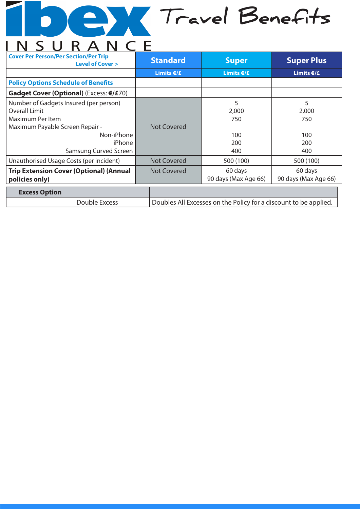## **Travel Benefits** D INSURANCE

| <b>Cover Per Person/Per Section/Per Trip</b>   | <b>Level of Cover &gt;</b> |                                                                  | <b>Standard</b>    | <b>Super</b>         | <b>Super Plus</b>    |
|------------------------------------------------|----------------------------|------------------------------------------------------------------|--------------------|----------------------|----------------------|
|                                                |                            |                                                                  | Limits $€/£$       | Limits $€/£$         | Limits $€/£$         |
| <b>Policy Options Schedule of Benefits</b>     |                            |                                                                  |                    |                      |                      |
| Gadget Cover (Optional) (Excess: €/£70)        |                            |                                                                  |                    |                      |                      |
| Number of Gadgets Insured (per person)         |                            |                                                                  |                    | 5                    | 5                    |
| Overall Limit                                  |                            |                                                                  |                    | 2,000                | 2,000                |
| Maximum Per Item                               |                            |                                                                  |                    | 750                  | 750                  |
| Maximum Payable Screen Repair -                |                            |                                                                  | Not Covered        |                      |                      |
| Non-iPhone                                     |                            |                                                                  |                    | 100                  | 100                  |
| iPhone                                         |                            |                                                                  |                    | 200                  | 200                  |
| Samsung Curved Screen                          |                            |                                                                  |                    | 400                  | 400                  |
| Unauthorised Usage Costs (per incident)        |                            |                                                                  | <b>Not Covered</b> | 500 (100)            | 500 (100)            |
| <b>Trip Extension Cover (Optional) (Annual</b> |                            |                                                                  | <b>Not Covered</b> | 60 days              | 60 days              |
| policies only)                                 |                            |                                                                  |                    | 90 days (Max Age 66) | 90 days (Max Age 66) |
| <b>Excess Option</b>                           |                            |                                                                  |                    |                      |                      |
|                                                | Double Excess              | Doubles All Excesses on the Policy for a discount to be applied. |                    |                      |                      |